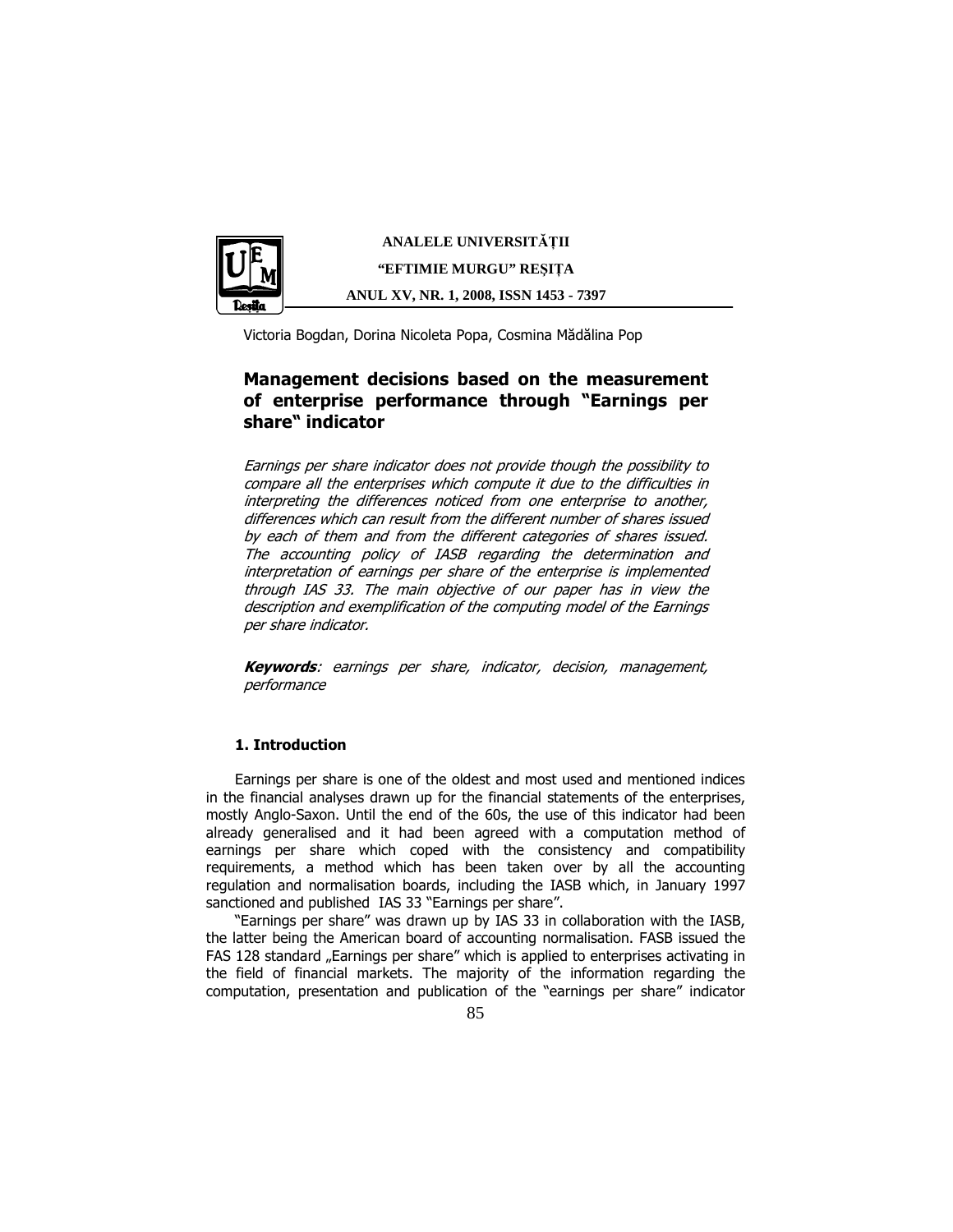

**ANALELE UNIVERSIT**Ăł**II "EFTIMIE MURGU" RE**Ş**I**ł**A ANUL XV, NR. 1, 2008, ISSN 1453 - 7397** 

Victoria Bogdan, Dorina Nicoleta Popa, Cosmina Mădălina Pop

# Management decisions based on the measurement of enterprise performance through "Earnings per share" indicator

Earnings per share indicator does not provide though the possibility to compare all the enterprises which compute it due to the difficulties in interpreting the differences noticed from one enterprise to another, differences which can result from the different number of shares issued by each of them and from the different categories of shares issued. The accounting policy of IASB regarding the determination and interpretation of earnings per share of the enterprise is implemented through IAS 33. The main objective of our paper has in view the description and exemplification of the computing model of the Earnings per share indicator.

Keywords: earnings per share, indicator, decision, management, performance

# 1. Introduction

Earnings per share is one of the oldest and most used and mentioned indices in the financial analyses drawn up for the financial statements of the enterprises, mostly Anglo-Saxon. Until the end of the 60s, the use of this indicator had been already generalised and it had been agreed with a computation method of earnings per share which coped with the consistency and compatibility requirements, a method which has been taken over by all the accounting regulation and normalisation boards, including the IASB which, in January 1997 sanctioned and published IAS 33 "Earnings per share".

"Earnings per share" was drawn up by IAS 33 in collaboration with the IASB, the latter being the American board of accounting normalisation. FASB issued the FAS 128 standard "Earnings per share" which is applied to enterprises activating in the field of financial markets. The majority of the information regarding the computation, presentation and publication of the "earnings per share" indicator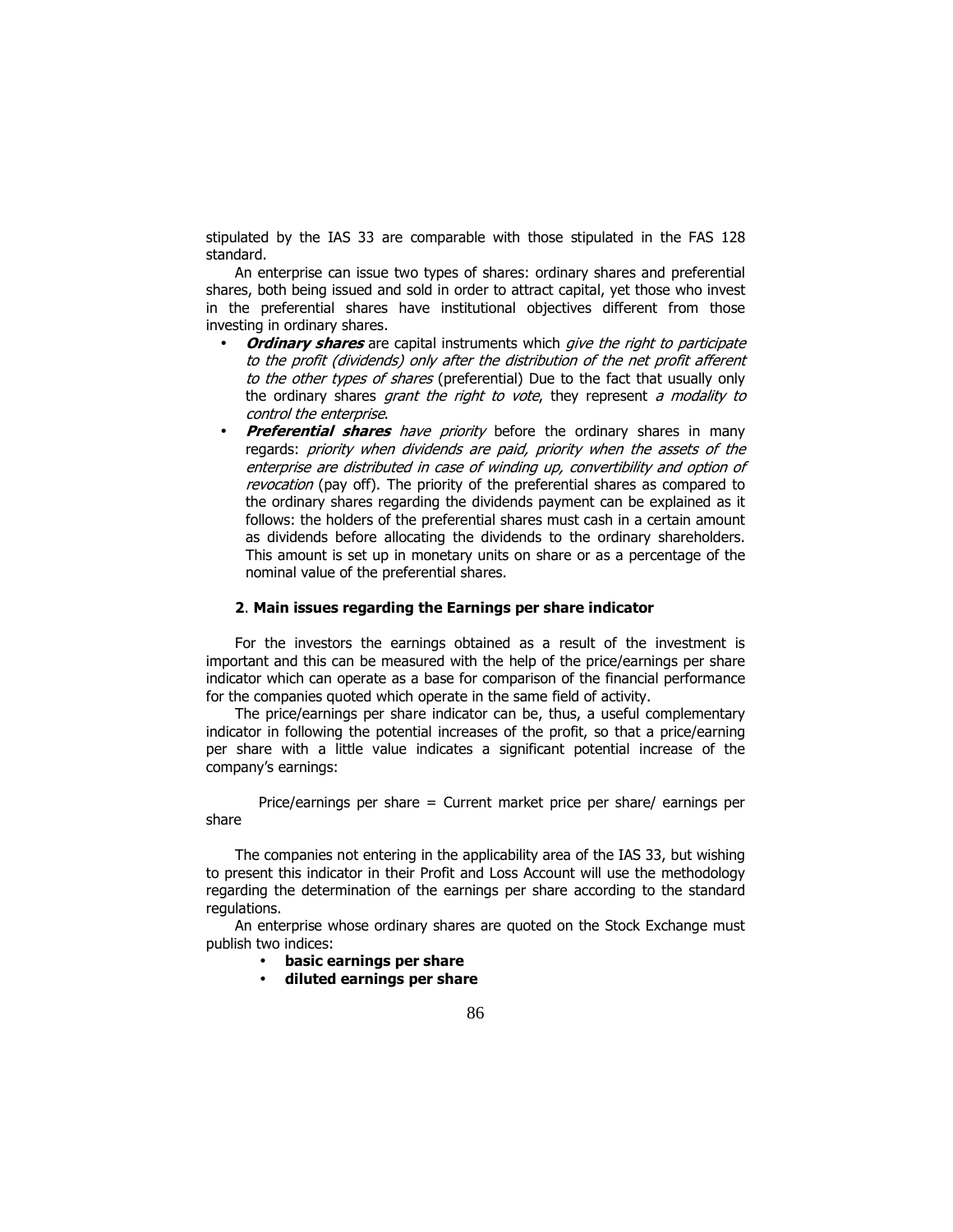stipulated by the IAS 33 are comparable with those stipulated in the FAS 128 standard.

An enterprise can issue two types of shares: ordinary shares and preferential shares, both being issued and sold in order to attract capital, yet those who invest in the preferential shares have institutional objectives different from those investing in ordinary shares.

- Ordinary shares are capital instruments which give the right to participate to the profit (dividends) only after the distribution of the net profit afferent to the other types of shares (preferential) Due to the fact that usually only the ordinary shares grant the right to vote, they represent a modality to control the enterprise.
- **Preferential shares** have priority before the ordinary shares in many regards: priority when dividends are paid, priority when the assets of the enterprise are distributed in case of winding up, convertibility and option of revocation (pay off). The priority of the preferential shares as compared to the ordinary shares regarding the dividends payment can be explained as it follows: the holders of the preferential shares must cash in a certain amount as dividends before allocating the dividends to the ordinary shareholders. This amount is set up in monetary units on share or as a percentage of the nominal value of the preferential shares.

# 2. Main issues regarding the Earnings per share indicator

For the investors the earnings obtained as a result of the investment is important and this can be measured with the help of the price/earnings per share indicator which can operate as a base for comparison of the financial performance for the companies quoted which operate in the same field of activity.

The price/earnings per share indicator can be, thus, a useful complementary indicator in following the potential increases of the profit, so that a price/earning per share with a little value indicates a significant potential increase of the company's earnings:

Price/earnings per share = Current market price per share/ earnings per share

The companies not entering in the applicability area of the IAS 33, but wishing to present this indicator in their Profit and Loss Account will use the methodology regarding the determination of the earnings per share according to the standard regulations.

An enterprise whose ordinary shares are quoted on the Stock Exchange must publish two indices:

- basic earnings per share
- diluted earnings per share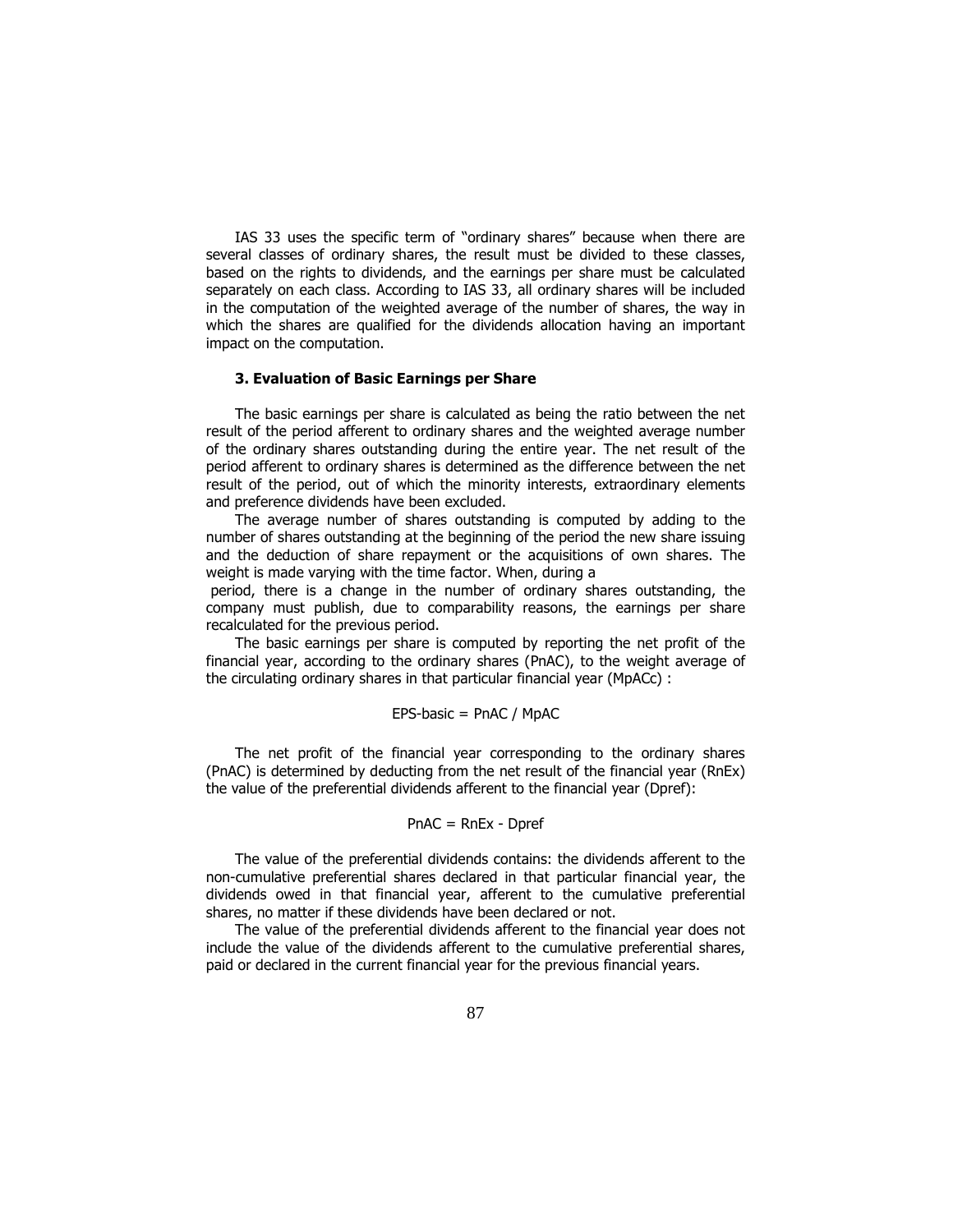IAS 33 uses the specific term of "ordinary shares" because when there are several classes of ordinary shares, the result must be divided to these classes, based on the rights to dividends, and the earnings per share must be calculated separately on each class. According to IAS 33, all ordinary shares will be included in the computation of the weighted average of the number of shares, the way in which the shares are qualified for the dividends allocation having an important impact on the computation.

## 3. Evaluation of Basic Earnings per Share

The basic earnings per share is calculated as being the ratio between the net result of the period afferent to ordinary shares and the weighted average number of the ordinary shares outstanding during the entire year. The net result of the period afferent to ordinary shares is determined as the difference between the net result of the period, out of which the minority interests, extraordinary elements and preference dividends have been excluded.

The average number of shares outstanding is computed by adding to the number of shares outstanding at the beginning of the period the new share issuing and the deduction of share repayment or the acquisitions of own shares. The weight is made varying with the time factor. When, during a

 period, there is a change in the number of ordinary shares outstanding, the company must publish, due to comparability reasons, the earnings per share recalculated for the previous period.

The basic earnings per share is computed by reporting the net profit of the financial year, according to the ordinary shares (PnAC), to the weight average of the circulating ordinary shares in that particular financial year (MpACc) :

#### EPS-basic = PnAC / MpAC

The net profit of the financial year corresponding to the ordinary shares (PnAC) is determined by deducting from the net result of the financial year (RnEx) the value of the preferential dividends afferent to the financial year (Dpref):

#### PnAC = RnEx - Dpref

The value of the preferential dividends contains: the dividends afferent to the non-cumulative preferential shares declared in that particular financial year, the dividends owed in that financial year, afferent to the cumulative preferential shares, no matter if these dividends have been declared or not.

The value of the preferential dividends afferent to the financial year does not include the value of the dividends afferent to the cumulative preferential shares, paid or declared in the current financial year for the previous financial years.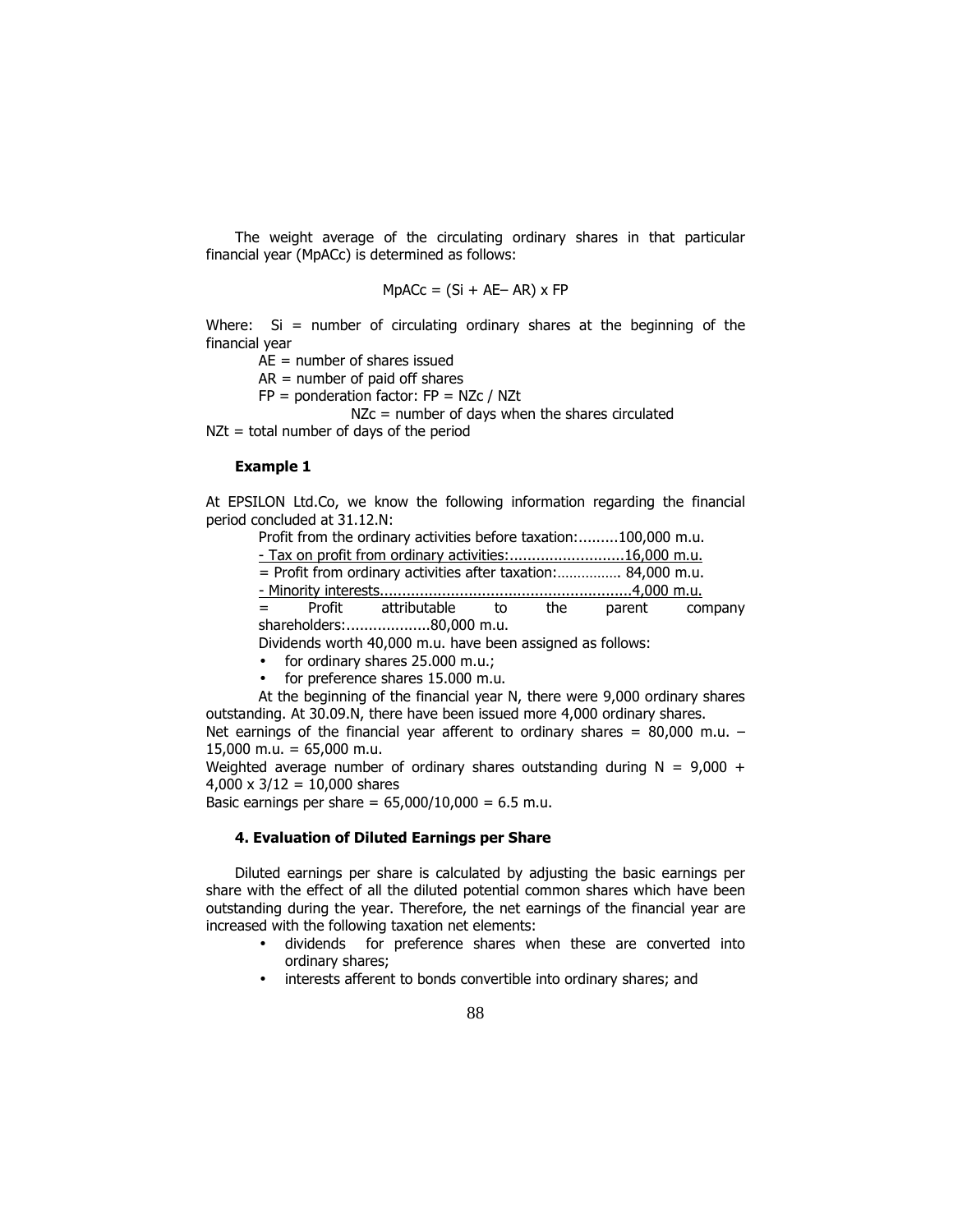The weight average of the circulating ordinary shares in that particular financial year (MpACc) is determined as follows:

$$
MpACC = (Si + AE - AR) \times FP
$$

Where:  $Si =$  number of circulating ordinary shares at the beginning of the financial year

AE = number of shares issued

 $AR =$  number of paid off shares

 $FP = ponderation factor: FP = NZc / NZt$ 

NZc = number of days when the shares circulated

 $NZt = total number of days of the period$ 

#### Example 1

At EPSILON Ltd.Co, we know the following information regarding the financial period concluded at 31.12.N:

Profit from the ordinary activities before taxation:.........100,000 m.u.

- Tax on profit from ordinary activities:..........................16,000 m.u.

= Profit from ordinary activities after taxation:……………. 84,000 m.u.

- Minority interests.........................................................4,000 m.u.

Profit attributable to the parent company shareholders:...................80,000 m.u.

Dividends worth 40,000 m.u. have been assigned as follows:

- for ordinary shares 25.000 m.u.;
- for preference shares 15.000 m.u.

At the beginning of the financial year N, there were 9,000 ordinary shares outstanding. At 30.09.N, there have been issued more 4,000 ordinary shares.

Net earnings of the financial year afferent to ordinary shares =  $80,000$  m.u. - $15,000$  m.u. = 65,000 m.u.

Weighted average number of ordinary shares outstanding during  $N = 9,000 +$  $4,000 \times 3/12 = 10,000$  shares

Basic earnings per share =  $65,000/10,000 = 6.5$  m.u.

# 4. Evaluation of Diluted Earnings per Share

Diluted earnings per share is calculated by adjusting the basic earnings per share with the effect of all the diluted potential common shares which have been outstanding during the year. Therefore, the net earnings of the financial year are increased with the following taxation net elements:

- dividends for preference shares when these are converted into ordinary shares;
- interests afferent to bonds convertible into ordinary shares; and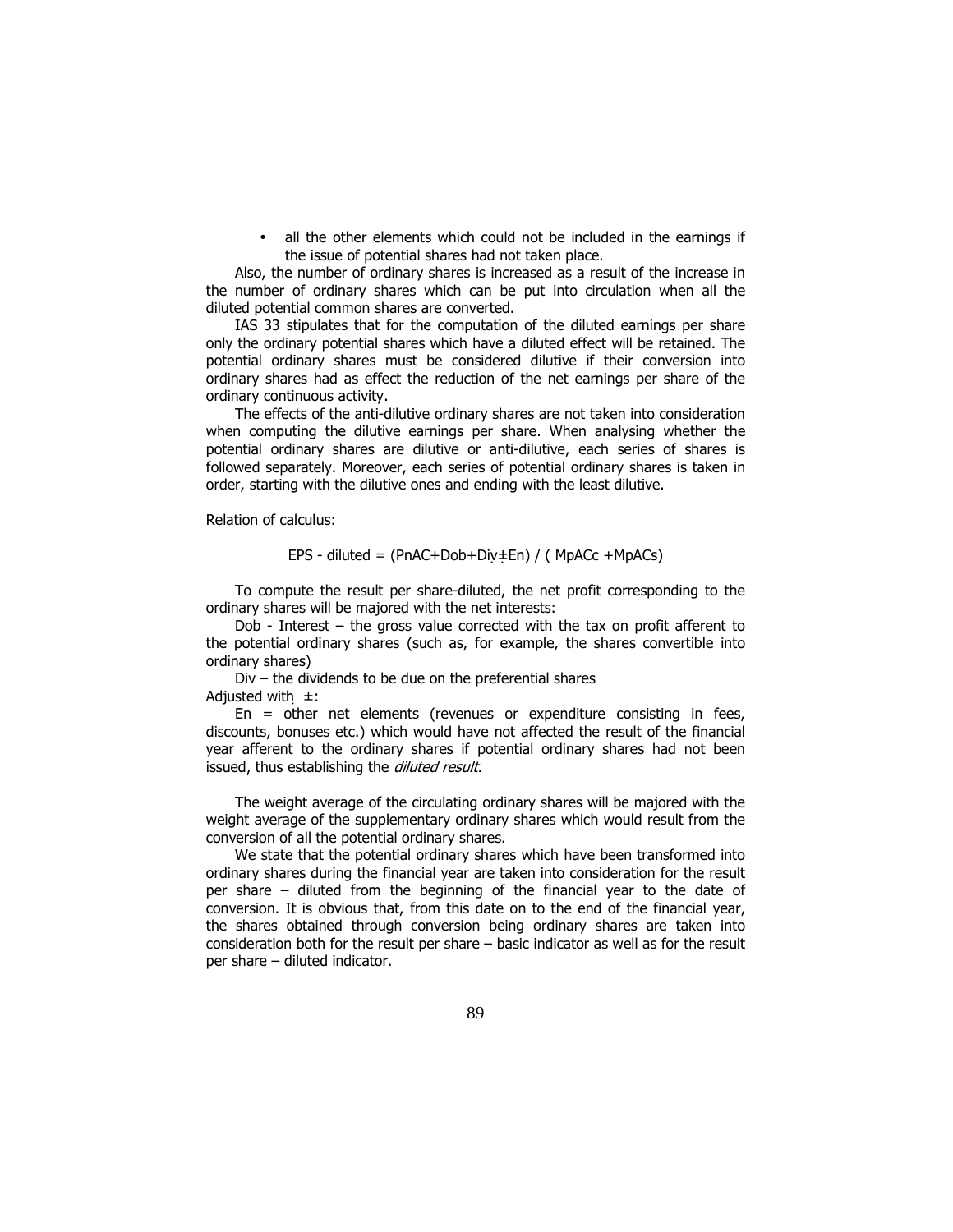• all the other elements which could not be included in the earnings if the issue of potential shares had not taken place.

Also, the number of ordinary shares is increased as a result of the increase in the number of ordinary shares which can be put into circulation when all the diluted potential common shares are converted.

IAS 33 stipulates that for the computation of the diluted earnings per share only the ordinary potential shares which have a diluted effect will be retained. The potential ordinary shares must be considered dilutive if their conversion into ordinary shares had as effect the reduction of the net earnings per share of the ordinary continuous activity.

The effects of the anti-dilutive ordinary shares are not taken into consideration when computing the dilutive earnings per share. When analysing whether the potential ordinary shares are dilutive or anti-dilutive, each series of shares is followed separately. Moreover, each series of potential ordinary shares is taken in order, starting with the dilutive ones and ending with the least dilutive.

Relation of calculus:

$$
EPS - diluted = (PnAC+Dob+Div \pm En) / (MpACC + MpACS)
$$

To compute the result per share-diluted, the net profit corresponding to the ordinary shares will be majored with the net interests:

Dob - Interest – the gross value corrected with the tax on profit afferent to the potential ordinary shares (such as, for example, the shares convertible into ordinary shares)

Div – the dividends to be due on the preferential shares Adjusted with  $\pm$ :

En = other net elements (revenues or expenditure consisting in fees, discounts, bonuses etc.) which would have not affected the result of the financial year afferent to the ordinary shares if potential ordinary shares had not been issued, thus establishing the *diluted result*.

The weight average of the circulating ordinary shares will be majored with the weight average of the supplementary ordinary shares which would result from the conversion of all the potential ordinary shares.

We state that the potential ordinary shares which have been transformed into ordinary shares during the financial year are taken into consideration for the result per share – diluted from the beginning of the financial year to the date of conversion. It is obvious that, from this date on to the end of the financial year, the shares obtained through conversion being ordinary shares are taken into consideration both for the result per share – basic indicator as well as for the result per share – diluted indicator.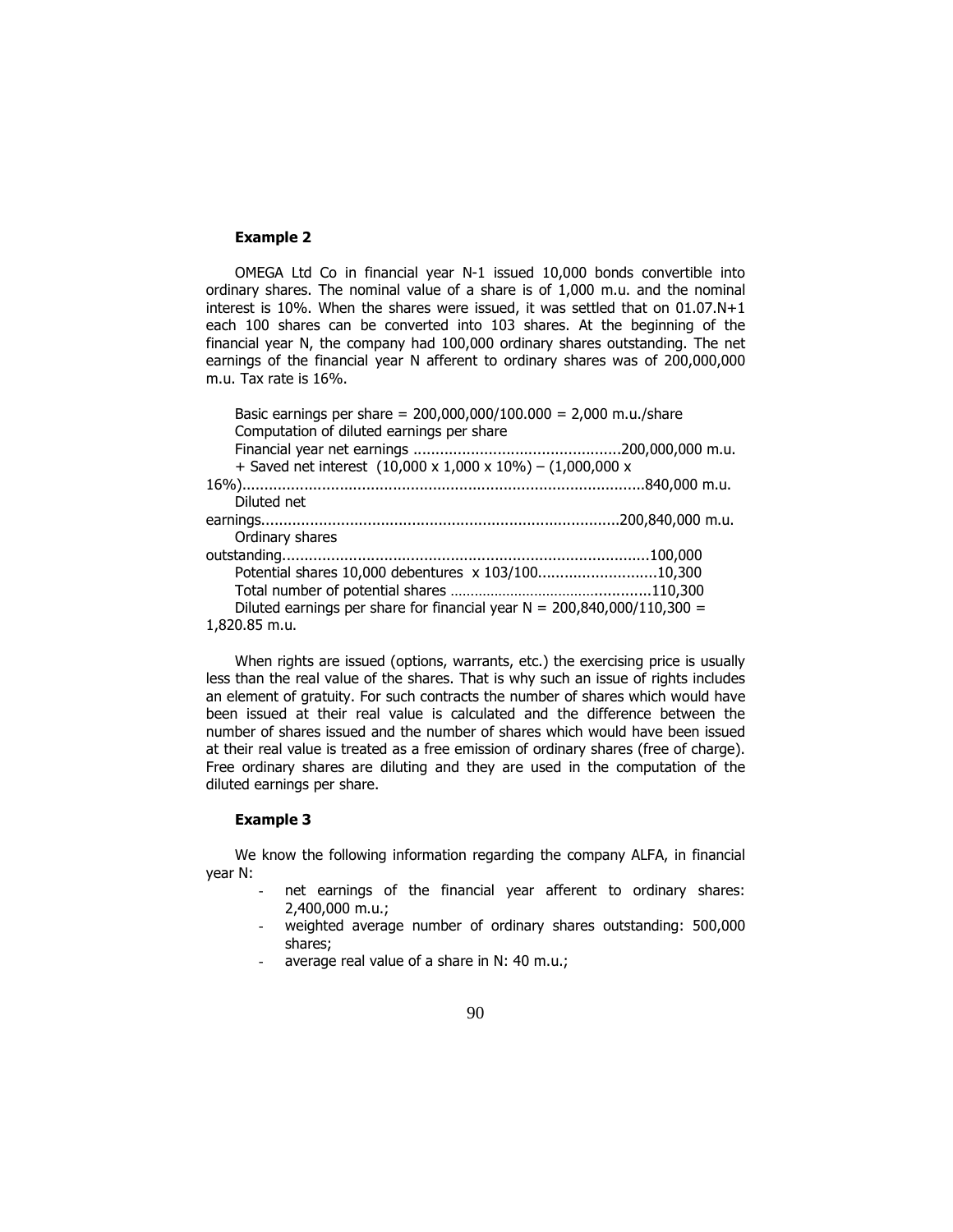### Example 2

OMEGA Ltd Co in financial year N-1 issued 10,000 bonds convertible into ordinary shares. The nominal value of a share is of 1,000 m.u. and the nominal interest is 10%. When the shares were issued, it was settled that on 01.07.N+1 each 100 shares can be converted into 103 shares. At the beginning of the financial year N, the company had 100,000 ordinary shares outstanding. The net earnings of the financial year N afferent to ordinary shares was of 200,000,000 m.u. Tax rate is 16%.

| Basic earnings per share = $200,000,000/100.000 = 2,000$ m.u./share                 |  |
|-------------------------------------------------------------------------------------|--|
| Computation of diluted earnings per share                                           |  |
|                                                                                     |  |
| + Saved net interest $(10,000 \times 1,000 \times 10\%) - (1,000,000 \times 1,000)$ |  |
|                                                                                     |  |
| Diluted net                                                                         |  |
|                                                                                     |  |
| Ordinary shares                                                                     |  |
|                                                                                     |  |
| Potential shares 10,000 debentures x 103/10010,300                                  |  |
|                                                                                     |  |
| Diluted earnings per share for financial year $N = 200,840,000/110,300 =$           |  |
| 1,820.85 m.u.                                                                       |  |
|                                                                                     |  |

When rights are issued (options, warrants, etc.) the exercising price is usually less than the real value of the shares. That is why such an issue of rights includes an element of gratuity. For such contracts the number of shares which would have been issued at their real value is calculated and the difference between the number of shares issued and the number of shares which would have been issued at their real value is treated as a free emission of ordinary shares (free of charge). Free ordinary shares are diluting and they are used in the computation of the diluted earnings per share.

## Example 3

We know the following information regarding the company ALFA, in financial year N:

- net earnings of the financial year afferent to ordinary shares: 2,400,000 m.u.;
- weighted average number of ordinary shares outstanding: 500,000 shares;
- average real value of a share in N: 40 m.u.;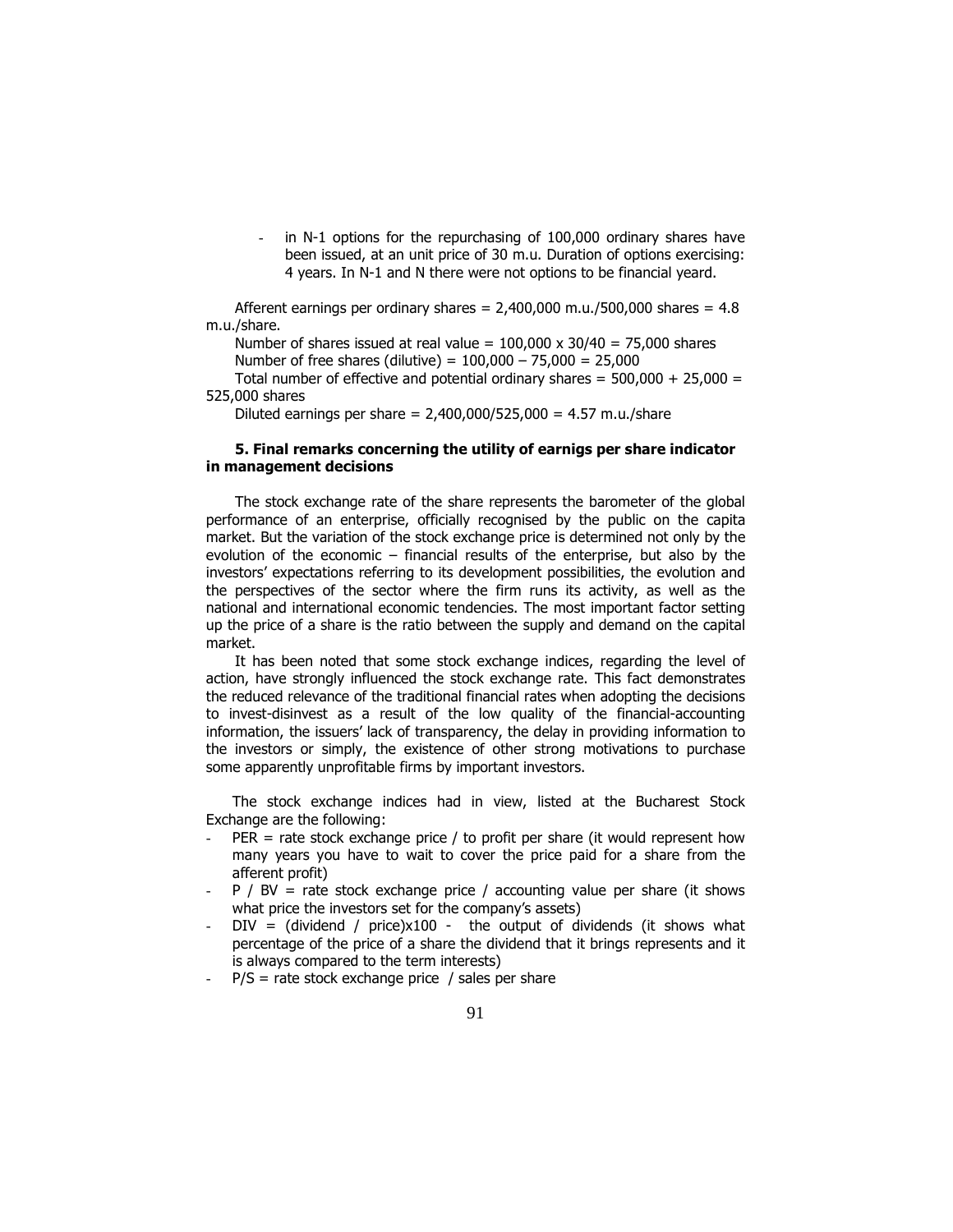in N-1 options for the repurchasing of 100,000 ordinary shares have been issued, at an unit price of 30 m.u. Duration of options exercising: 4 years. In N-1 and N there were not options to be financial yeard.

Afferent earnings per ordinary shares =  $2,400,000$  m.u./500,000 shares =  $4.8$ m.u./share.

Number of shares issued at real value =  $100,000 \times 30/40 = 75,000$  shares Number of free shares (dilutive) =  $100,000 - 75,000 = 25,000$ Total number of effective and potential ordinary shares =  $500,000 + 25,000 =$ 

525,000 shares

Diluted earnings per share =  $2,400,000/525,000 = 4.57$  m.u./share

## 5. Final remarks concerning the utility of earnigs per share indicator in management decisions

The stock exchange rate of the share represents the barometer of the global performance of an enterprise, officially recognised by the public on the capita market. But the variation of the stock exchange price is determined not only by the evolution of the economic – financial results of the enterprise, but also by the investors' expectations referring to its development possibilities, the evolution and the perspectives of the sector where the firm runs its activity, as well as the national and international economic tendencies. The most important factor setting up the price of a share is the ratio between the supply and demand on the capital market.

It has been noted that some stock exchange indices, regarding the level of action, have strongly influenced the stock exchange rate. This fact demonstrates the reduced relevance of the traditional financial rates when adopting the decisions to invest-disinvest as a result of the low quality of the financial-accounting information, the issuers' lack of transparency, the delay in providing information to the investors or simply, the existence of other strong motivations to purchase some apparently unprofitable firms by important investors.

The stock exchange indices had in view, listed at the Bucharest Stock Exchange are the following:

- $PER = rate stock exchange price / to profit per share (it would represent how$ many years you have to wait to cover the price paid for a share from the afferent profit)
- $P$  / BV = rate stock exchange price / accounting value per share (it shows what price the investors set for the company's assets)
- $DIV = (dividend / price)x100 the output of dividends (it shows what$ percentage of the price of a share the dividend that it brings represents and it is always compared to the term interests)
- $-P/S =$  rate stock exchange price / sales per share